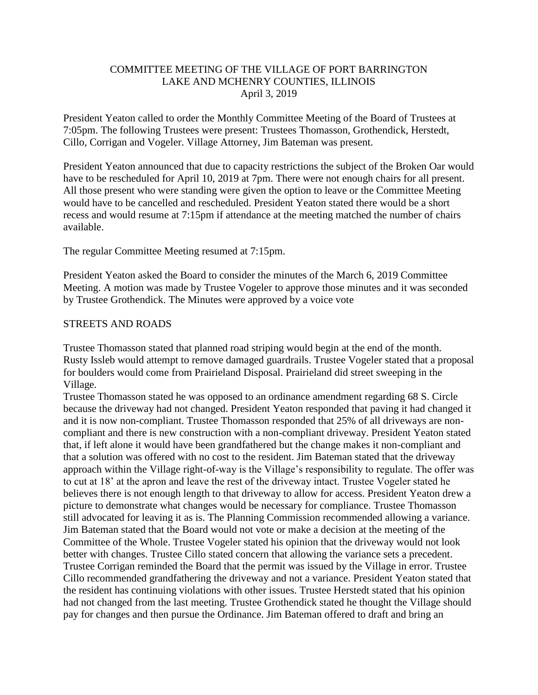### COMMITTEE MEETING OF THE VILLAGE OF PORT BARRINGTON LAKE AND MCHENRY COUNTIES, ILLINOIS April 3, 2019

President Yeaton called to order the Monthly Committee Meeting of the Board of Trustees at 7:05pm. The following Trustees were present: Trustees Thomasson, Grothendick, Herstedt, Cillo, Corrigan and Vogeler. Village Attorney, Jim Bateman was present.

President Yeaton announced that due to capacity restrictions the subject of the Broken Oar would have to be rescheduled for April 10, 2019 at 7pm. There were not enough chairs for all present. All those present who were standing were given the option to leave or the Committee Meeting would have to be cancelled and rescheduled. President Yeaton stated there would be a short recess and would resume at 7:15pm if attendance at the meeting matched the number of chairs available.

The regular Committee Meeting resumed at 7:15pm.

President Yeaton asked the Board to consider the minutes of the March 6, 2019 Committee Meeting. A motion was made by Trustee Vogeler to approve those minutes and it was seconded by Trustee Grothendick. The Minutes were approved by a voice vote

#### STREETS AND ROADS

Trustee Thomasson stated that planned road striping would begin at the end of the month. Rusty Issleb would attempt to remove damaged guardrails. Trustee Vogeler stated that a proposal for boulders would come from Prairieland Disposal. Prairieland did street sweeping in the Village.

Trustee Thomasson stated he was opposed to an ordinance amendment regarding 68 S. Circle because the driveway had not changed. President Yeaton responded that paving it had changed it and it is now non-compliant. Trustee Thomasson responded that 25% of all driveways are noncompliant and there is new construction with a non-compliant driveway. President Yeaton stated that, if left alone it would have been grandfathered but the change makes it non-compliant and that a solution was offered with no cost to the resident. Jim Bateman stated that the driveway approach within the Village right-of-way is the Village's responsibility to regulate. The offer was to cut at 18' at the apron and leave the rest of the driveway intact. Trustee Vogeler stated he believes there is not enough length to that driveway to allow for access. President Yeaton drew a picture to demonstrate what changes would be necessary for compliance. Trustee Thomasson still advocated for leaving it as is. The Planning Commission recommended allowing a variance. Jim Bateman stated that the Board would not vote or make a decision at the meeting of the Committee of the Whole. Trustee Vogeler stated his opinion that the driveway would not look better with changes. Trustee Cillo stated concern that allowing the variance sets a precedent. Trustee Corrigan reminded the Board that the permit was issued by the Village in error. Trustee Cillo recommended grandfathering the driveway and not a variance. President Yeaton stated that the resident has continuing violations with other issues. Trustee Herstedt stated that his opinion had not changed from the last meeting. Trustee Grothendick stated he thought the Village should pay for changes and then pursue the Ordinance. Jim Bateman offered to draft and bring an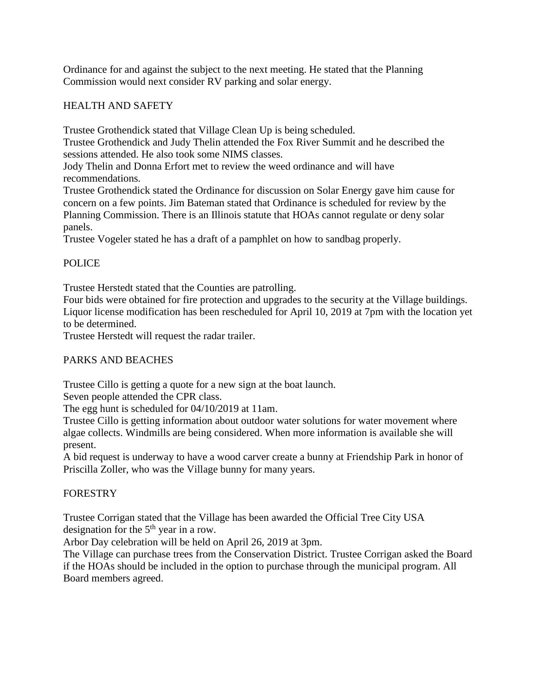Ordinance for and against the subject to the next meeting. He stated that the Planning Commission would next consider RV parking and solar energy.

### HEALTH AND SAFETY

Trustee Grothendick stated that Village Clean Up is being scheduled.

Trustee Grothendick and Judy Thelin attended the Fox River Summit and he described the sessions attended. He also took some NIMS classes.

Jody Thelin and Donna Erfort met to review the weed ordinance and will have recommendations.

Trustee Grothendick stated the Ordinance for discussion on Solar Energy gave him cause for concern on a few points. Jim Bateman stated that Ordinance is scheduled for review by the Planning Commission. There is an Illinois statute that HOAs cannot regulate or deny solar panels.

Trustee Vogeler stated he has a draft of a pamphlet on how to sandbag properly.

# **POLICE**

Trustee Herstedt stated that the Counties are patrolling.

Four bids were obtained for fire protection and upgrades to the security at the Village buildings. Liquor license modification has been rescheduled for April 10, 2019 at 7pm with the location yet to be determined.

Trustee Herstedt will request the radar trailer.

# PARKS AND BEACHES

Trustee Cillo is getting a quote for a new sign at the boat launch.

Seven people attended the CPR class.

The egg hunt is scheduled for 04/10/2019 at 11am.

Trustee Cillo is getting information about outdoor water solutions for water movement where algae collects. Windmills are being considered. When more information is available she will present.

A bid request is underway to have a wood carver create a bunny at Friendship Park in honor of Priscilla Zoller, who was the Village bunny for many years.

# FORESTRY

Trustee Corrigan stated that the Village has been awarded the Official Tree City USA designation for the  $5<sup>th</sup>$  year in a row.

Arbor Day celebration will be held on April 26, 2019 at 3pm.

The Village can purchase trees from the Conservation District. Trustee Corrigan asked the Board if the HOAs should be included in the option to purchase through the municipal program. All Board members agreed.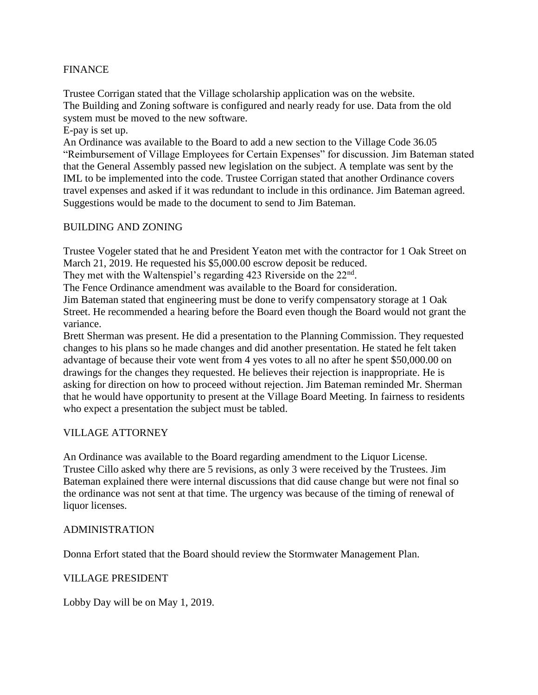### **FINANCE**

Trustee Corrigan stated that the Village scholarship application was on the website. The Building and Zoning software is configured and nearly ready for use. Data from the old system must be moved to the new software.

E-pay is set up.

An Ordinance was available to the Board to add a new section to the Village Code 36.05 "Reimbursement of Village Employees for Certain Expenses" for discussion. Jim Bateman stated that the General Assembly passed new legislation on the subject. A template was sent by the IML to be implemented into the code. Trustee Corrigan stated that another Ordinance covers travel expenses and asked if it was redundant to include in this ordinance. Jim Bateman agreed. Suggestions would be made to the document to send to Jim Bateman.

#### BUILDING AND ZONING

Trustee Vogeler stated that he and President Yeaton met with the contractor for 1 Oak Street on March 21, 2019. He requested his \$5,000.00 escrow deposit be reduced.

They met with the Waltenspiel's regarding 423 Riverside on the  $22<sup>nd</sup>$ .

The Fence Ordinance amendment was available to the Board for consideration.

Jim Bateman stated that engineering must be done to verify compensatory storage at 1 Oak Street. He recommended a hearing before the Board even though the Board would not grant the variance.

Brett Sherman was present. He did a presentation to the Planning Commission. They requested changes to his plans so he made changes and did another presentation. He stated he felt taken advantage of because their vote went from 4 yes votes to all no after he spent \$50,000.00 on drawings for the changes they requested. He believes their rejection is inappropriate. He is asking for direction on how to proceed without rejection. Jim Bateman reminded Mr. Sherman that he would have opportunity to present at the Village Board Meeting. In fairness to residents who expect a presentation the subject must be tabled.

#### VILLAGE ATTORNEY

An Ordinance was available to the Board regarding amendment to the Liquor License. Trustee Cillo asked why there are 5 revisions, as only 3 were received by the Trustees. Jim Bateman explained there were internal discussions that did cause change but were not final so the ordinance was not sent at that time. The urgency was because of the timing of renewal of liquor licenses.

#### ADMINISTRATION

Donna Erfort stated that the Board should review the Stormwater Management Plan.

#### VILLAGE PRESIDENT

Lobby Day will be on May 1, 2019.